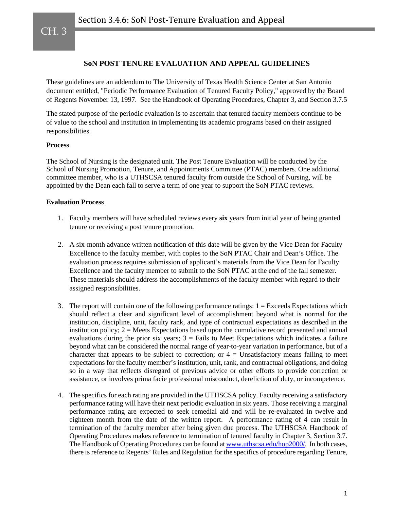# CH. 3

# **SoN POST TENURE EVALUATION AND APPEAL GUIDELINES**

These guidelines are an addendum to The University of Texas Health Science Center at San Antonio document entitled, "Periodic Performance Evaluation of Tenured Faculty Policy," approved by the Board of Regents November 13, 1997. See the Handbook of Operating Procedures, Chapter 3, and Section 3.7.5

The stated purpose of the periodic evaluation is to ascertain that tenured faculty members continue to be of value to the school and institution in implementing its academic programs based on their assigned responsibilities.

### **Process**

The School of Nursing is the designated unit. The Post Tenure Evaluation will be conducted by the School of Nursing Promotion, Tenure, and Appointments Committee (PTAC) members. One additional committee member, who is a UTHSCSA tenured faculty from outside the School of Nursing, will be appointed by the Dean each fall to serve a term of one year to support the SoN PTAC reviews.

## **Evaluation Process**

- 1. Faculty members will have scheduled reviews every **six** years from initial year of being granted tenure or receiving a post tenure promotion.
- 2. A six-month advance written notification of this date will be given by the Vice Dean for Faculty Excellence to the faculty member, with copies to the SoN PTAC Chair and Dean's Office. The evaluation process requires submission of applicant's materials from the Vice Dean for Faculty Excellence and the faculty member to submit to the SoN PTAC at the end of the fall semester. These materials should address the accomplishments of the faculty member with regard to their assigned responsibilities.
- 3. The report will contain one of the following performance ratings:  $1 =$  Exceeds Expectations which should reflect a clear and significant level of accomplishment beyond what is normal for the institution, discipline, unit, faculty rank, and type of contractual expectations as described in the institution policy;  $2 =$  Meets Expectations based upon the cumulative record presented and annual evaluations during the prior six years;  $3 =$  Fails to Meet Expectations which indicates a failure beyond what can be considered the normal range of year-to-year variation in performance, but of a character that appears to be subject to correction; or  $4 =$  Unsatisfactory means failing to meet expectations for the faculty member's institution, unit, rank, and contractual obligations, and doing so in a way that reflects disregard of previous advice or other efforts to provide correction or assistance, or involves prima facie professional misconduct, dereliction of duty, or incompetence.
- 4. The specifics for each rating are provided in the UTHSCSA policy. Faculty receiving a satisfactory performance rating will have their next periodic evaluation in six years. Those receiving a marginal performance rating are expected to seek remedial aid and will be re-evaluated in twelve and eighteen month from the date of the written report. A performance rating of 4 can result in termination of the faculty member after being given due process. The UTHSCSA Handbook of Operating Procedures makes reference to termination of tenured faculty in Chapter 3, Section 3.7. The Handbook of Operating Procedures can be found a[t www.uthscsa.edu/hop2000/.](http://www.uthscsa.edu/hop2000/) In both cases, there is reference to Regents' Rules and Regulation for the specifics of procedure regarding Tenure,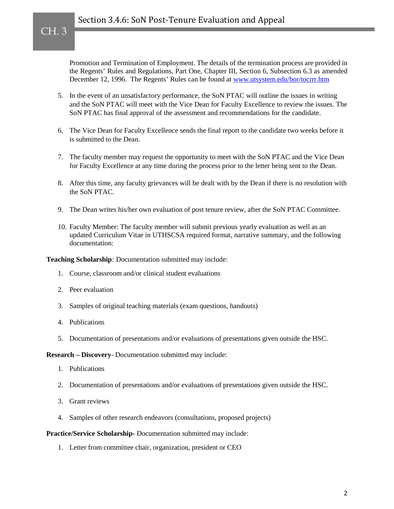# Section 3.4.6: SoN Post-Tenure Evaluation and Appeal

Promotion and Termination of Employment. The details of the termination process are provided in the Regents' Rules and Regulations, Part One, Chapter III, Section 6, Subsection 6.3 as amended December 12, 1996. The Regents' Rules can be found at [www.utsystem.edu/bor/tocrrr.htm](http://www.utsystem.edu/bor/tocrrr.htm)

- 5. In the event of an unsatisfactory performance, the SoN PTAC will outline the issues in writing and the SoN PTAC will meet with the Vice Dean for Faculty Excellence to review the issues. The SoN PTAC has final approval of the assessment and recommendations for the candidate.
- 6. The Vice Dean for Faculty Excellence sends the final report to the candidate two weeks before it is submitted to the Dean.
- 7. The faculty member may request the opportunity to meet with the SoN PTAC and the Vice Dean for Faculty Excellence at any time during the process prior to the letter being sent to the Dean.
- 8. After this time, any faculty grievances will be dealt with by the Dean if there is no resolution with the SoN PTAC.
- 9. The Dean writes his/her own evaluation of post tenure review, after the SoN PTAC Committee.
- 10. Faculty Member: The faculty member will submit previous yearly evaluation as well as an updated Curriculum Vitae in UTHSCSA required format, narrative summary, and the following documentation:

**Teaching Scholarship***:* Documentation submitted may include:

- 1. Course, classroom and/or clinical student evaluations
- 2. Peer evaluation

CH. 3

- 3. Samples of original teaching materials (exam questions, handouts)
- 4. Publications
- 5. Documentation of presentations and/or evaluations of presentations given outside the HSC.

**Research – Discovery**- Documentation submitted may include:

- 1. Publications
- 2. Documentation of presentations and/or evaluations of presentations given outside the HSC.
- 3. Grant reviews
- 4. Samples of other research endeavors (consultations, proposed projects)

#### **Practice/Service Scholarship-** Documentation submitted may include:

1. Letter from committee chair, organization, president or CEO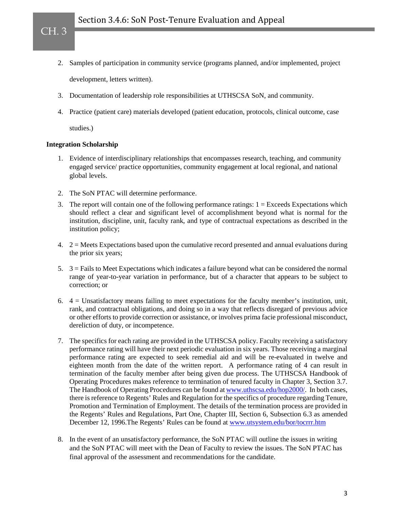- 2. Samples of participation in community service (programs planned, and/or implemented, project development, letters written).
- 3. Documentation of leadership role responsibilities at UTHSCSA SoN, and community.
- 4. Practice (patient care) materials developed (patient education, protocols, clinical outcome, case

studies.)

CH. 3

### **Integration Scholarship**

- 1. Evidence of interdisciplinary relationships that encompasses research, teaching, and community engaged service/ practice opportunities, community engagement at local regional, and national global levels.
- 2. The SoN PTAC will determine performance.
- 3. The report will contain one of the following performance ratings:  $1 =$  Exceeds Expectations which should reflect a clear and significant level of accomplishment beyond what is normal for the institution, discipline, unit, faculty rank, and type of contractual expectations as described in the institution policy;
- 4.  $2 =$  Meets Expectations based upon the cumulative record presented and annual evaluations during the prior six years;
- 5.  $3 =$  Fails to Meet Expectations which indicates a failure beyond what can be considered the normal range of year-to-year variation in performance, but of a character that appears to be subject to correction; or
- 6. 4 = Unsatisfactory means failing to meet expectations for the faculty member's institution, unit, rank, and contractual obligations, and doing so in a way that reflects disregard of previous advice or other efforts to provide correction or assistance, or involves prima facie professional misconduct, dereliction of duty, or incompetence.
- 7. The specifics for each rating are provided in the UTHSCSA policy. Faculty receiving a satisfactory performance rating will have their next periodic evaluation in six years. Those receiving a marginal performance rating are expected to seek remedial aid and will be re-evaluated in twelve and eighteen month from the date of the written report. A performance rating of 4 can result in termination of the faculty member after being given due process. The UTHSCSA Handbook of Operating Procedures makes reference to termination of tenured faculty in Chapter 3, Section 3.7. The Handbook of Operating Procedures can be found a[t www.uthscsa.edu/hop2000/.](http://www.uthscsa.edu/hop2000/) In both cases, there is reference to Regents' Rules and Regulation for the specifics of procedure regarding Tenure, Promotion and Termination of Employment. The details of the termination process are provided in the Regents' Rules and Regulations, Part One, Chapter III, Section 6, Subsection 6.3 as amended December 12, 1996.The Regents' Rules can be found at [www.utsystem.edu/bor/tocrrr.htm](http://www.utsystem.edu/bor/tocrrr.htm)
- 8. In the event of an unsatisfactory performance, the SoN PTAC will outline the issues in writing and the SoN PTAC will meet with the Dean of Faculty to review the issues. The SoN PTAC has final approval of the assessment and recommendations for the candidate.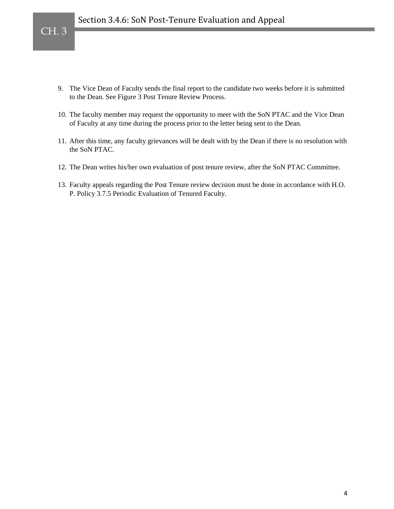

- 9. The Vice Dean of Faculty sends the final report to the candidate two weeks before it is submitted to the Dean. See Figure 3 Post Tenure Review Process.
- 10. The faculty member may request the opportunity to meet with the SoN PTAC and the Vice Dean of Faculty at any time during the process prior to the letter being sent to the Dean.
- 11. After this time, any faculty grievances will be dealt with by the Dean if there is no resolution with the SoN PTAC.
- 12. The Dean writes his/her own evaluation of post tenure review, after the SoN PTAC Committee.
- 13. Faculty appeals regarding the Post Tenure review decision must be done in accordance with H.O. P. Policy 3.7.5 Periodic Evaluation of Tenured Faculty.